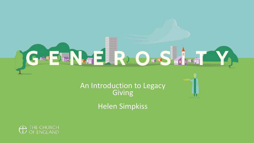

An Introduction to Legacy Giving

Helen Simpkiss

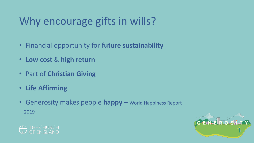## Why encourage gifts in wills?

- Financial opportunity for **future sustainability**
- **Low cost** & **high return**
- Part of **Christian Giving**
- **Life Affirming**
- Generosity makes people **happy** World Happiness Report 2019



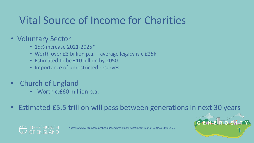## Vital Source of Income for Charities

### • Voluntary Sector

- 15% increase 2021-2025\*
- Worth over £3 billion p.a. average legacy is c.£25k
- Estimated to be £10 billion by 2050
- Importance of unrestricted reserves
- Church of England
	- Worth c.£60 million p.a.
- Estimated £5.5 trillion will pass between generations in next 30 years



\*https://www.legacyforesight.co.uk/benchmarking/news/#legacy-market-outlook-2020-2025

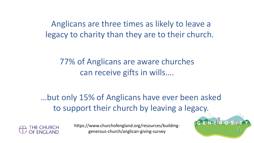Anglicans are three times as likely to leave a legacy to charity than they are to their church.

77% of Anglicans are aware churches can receive gifts in wills….

…but only 15% of Anglicans have ever been asked to support their church by leaving a legacy.



generous-church/anglican-giving-survey https://www.churchofengland.org/resources/building-

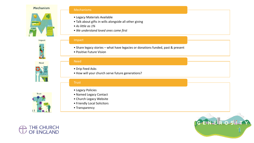#### Mechanism



Impact

Need

**DDD BAI** 



#### Mechanisms

- Legacy Materials Available
- Talk about gifts in wills alongside all other giving
- *As little as 1%*
- *We understand loved ones come first*

#### Impact

- Share legacy stories what have legacies or donations funded, past & present
- Positive Future Vision

#### Need

- Drip Feed Asks
- How will your church serve future generations?

### **Trust**

- Legacy Policies
- Named Legacy Contact
- Church Legacy Website
- Friendly Local Solicitors
- Transparency





**Trust**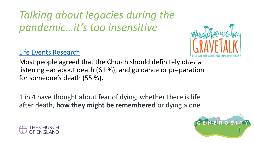*Talking about legacies during the pandemic…it's too insensitive*

### [Life Events Research](https://www.churchofengland.org/sites/default/files/2021-03/Funerals%20and%20Bereavement%20Summary%20Report%20web.pdf?mc_cid=81d92954bd&mc_eid=c210f37271)

Most people agreed that the Church should definitely offer a listening ear about death (61 %); and guidance or preparation for someone's death (55 %).

1 in 4 have thought about fear of dying, whether there is life after death, **how they might be remembered** or dying alone.



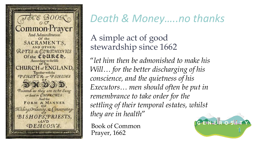

## *Death & Money…..no thanks*

A simple act of good stewardship since 1662

"*let him then be admonished to make his Will… for the better discharging of his conscience, and the quietness of his Executors… men should often be put in remembrance to take order for the settling of their temporal estates, whilst they are in health*"

Book of Common Prayer, 1662

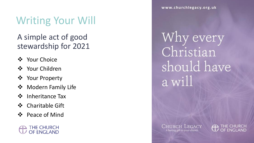### Writing Your Will

### A simple act of good stewardship for 2021

- ❖ Your Choice
- ❖ Your Children
- ❖ Your Property
- ❖ Modern Family Life
- ❖ Inheritance Tax
- ❖ Charitable Gift
- ❖ Peace of Mind



www.churchlegacy.org.uk

Why every Christian should have a will

Church Legacy A lasting gift to your church

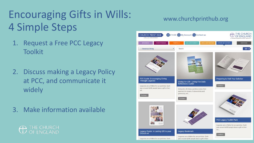## Encouraging Gifts in Wills: 4 Simple Steps

- 1. Request a Free PCC Legacy **Toolkit**
- 2. Discuss making a Legacy Policy at PCC, and communicate it widely
- 3. Make information available



### www.churchprinthub.org

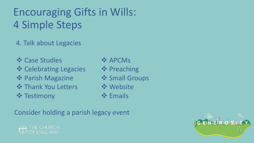## Encouraging Gifts in Wills: 4 Simple Steps

4. Talk about Legacies

❖ Case Studies

❖ Celebrating Legacies

- ❖ Parish Magazine
- **❖ Thank You Letters**
- ❖ Testimony
- ❖ APCMs
- ❖ Preaching
- **❖ Small Groups**
- ❖ Website
- ❖ Emails

Consider holding a parish legacy event